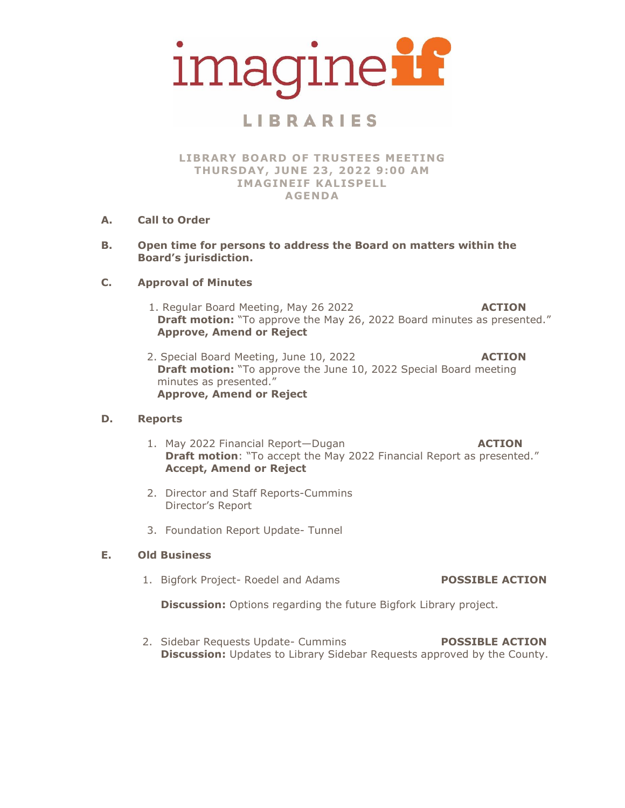

# **LIBRARIES**

**LIBRARY BOARD OF TRUSTEES MEETING THURSDAY, JUNE 23, 2022 9:00 AM IMAGINEIF KALISPELL AGENDA**

- **A. Call to Order**
- **B. Open time for persons to address the Board on matters within the Board's jurisdiction.**

### **C. Approval of Minutes**

- 1. Regular Board Meeting, May 26 2022 **ACTION Draft motion:** "To approve the May 26, 2022 Board minutes as presented." **Approve, Amend or Reject**
- 2. Special Board Meeting, June 10, 2022 **ACTION Draft motion:** "To approve the June 10, 2022 Special Board meeting minutes as presented." **Approve, Amend or Reject**

### **D. Reports**

- 1. May 2022 Financial Report—Dugan **ACTION Draft motion:** "To accept the May 2022 Financial Report as presented." **Accept, Amend or Reject**
- 2. Director and Staff Reports-Cummins Director's Report
- 3. Foundation Report Update- Tunnel

### **E. Old Business**

1. Bigfork Project- Roedel and Adams **POSSIBLE ACTION**

**Discussion:** Options regarding the future Bigfork Library project.

2. Sidebar Requests Update- Cummins **POSSIBLE ACTION Discussion:** Updates to Library Sidebar Requests approved by the County.